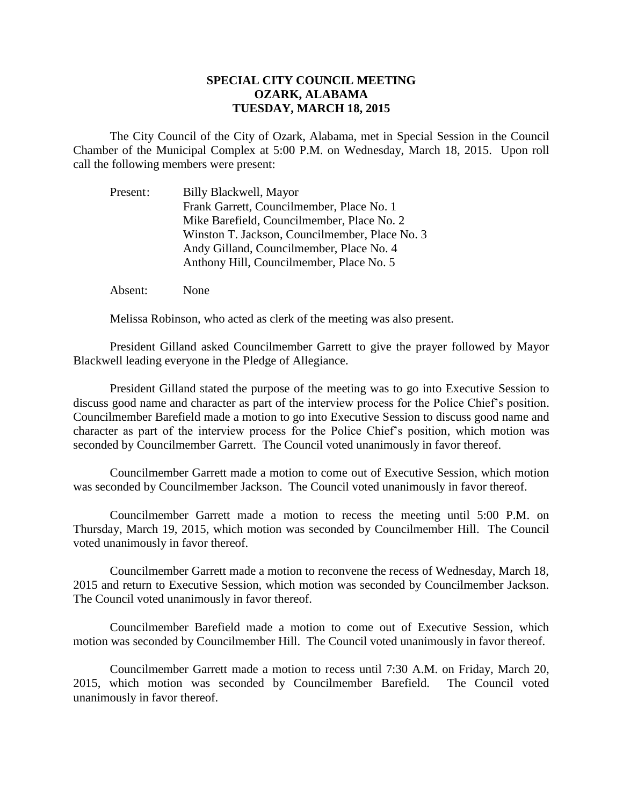## **SPECIAL CITY COUNCIL MEETING OZARK, ALABAMA TUESDAY, MARCH 18, 2015**

The City Council of the City of Ozark, Alabama, met in Special Session in the Council Chamber of the Municipal Complex at 5:00 P.M. on Wednesday, March 18, 2015. Upon roll call the following members were present:

| Present: | Billy Blackwell, Mayor                         |
|----------|------------------------------------------------|
|          | Frank Garrett, Councilmember, Place No. 1      |
|          | Mike Barefield, Councilmember, Place No. 2     |
|          | Winston T. Jackson, Councilmember, Place No. 3 |
|          | Andy Gilland, Councilmember, Place No. 4       |
|          | Anthony Hill, Councilmember, Place No. 5       |

Absent: None

Melissa Robinson, who acted as clerk of the meeting was also present.

President Gilland asked Councilmember Garrett to give the prayer followed by Mayor Blackwell leading everyone in the Pledge of Allegiance.

President Gilland stated the purpose of the meeting was to go into Executive Session to discuss good name and character as part of the interview process for the Police Chief's position. Councilmember Barefield made a motion to go into Executive Session to discuss good name and character as part of the interview process for the Police Chief's position, which motion was seconded by Councilmember Garrett. The Council voted unanimously in favor thereof.

Councilmember Garrett made a motion to come out of Executive Session, which motion was seconded by Councilmember Jackson. The Council voted unanimously in favor thereof.

Councilmember Garrett made a motion to recess the meeting until 5:00 P.M. on Thursday, March 19, 2015, which motion was seconded by Councilmember Hill. The Council voted unanimously in favor thereof.

Councilmember Garrett made a motion to reconvene the recess of Wednesday, March 18, 2015 and return to Executive Session, which motion was seconded by Councilmember Jackson. The Council voted unanimously in favor thereof.

Councilmember Barefield made a motion to come out of Executive Session, which motion was seconded by Councilmember Hill. The Council voted unanimously in favor thereof.

Councilmember Garrett made a motion to recess until 7:30 A.M. on Friday, March 20, 2015, which motion was seconded by Councilmember Barefield. The Council voted unanimously in favor thereof.